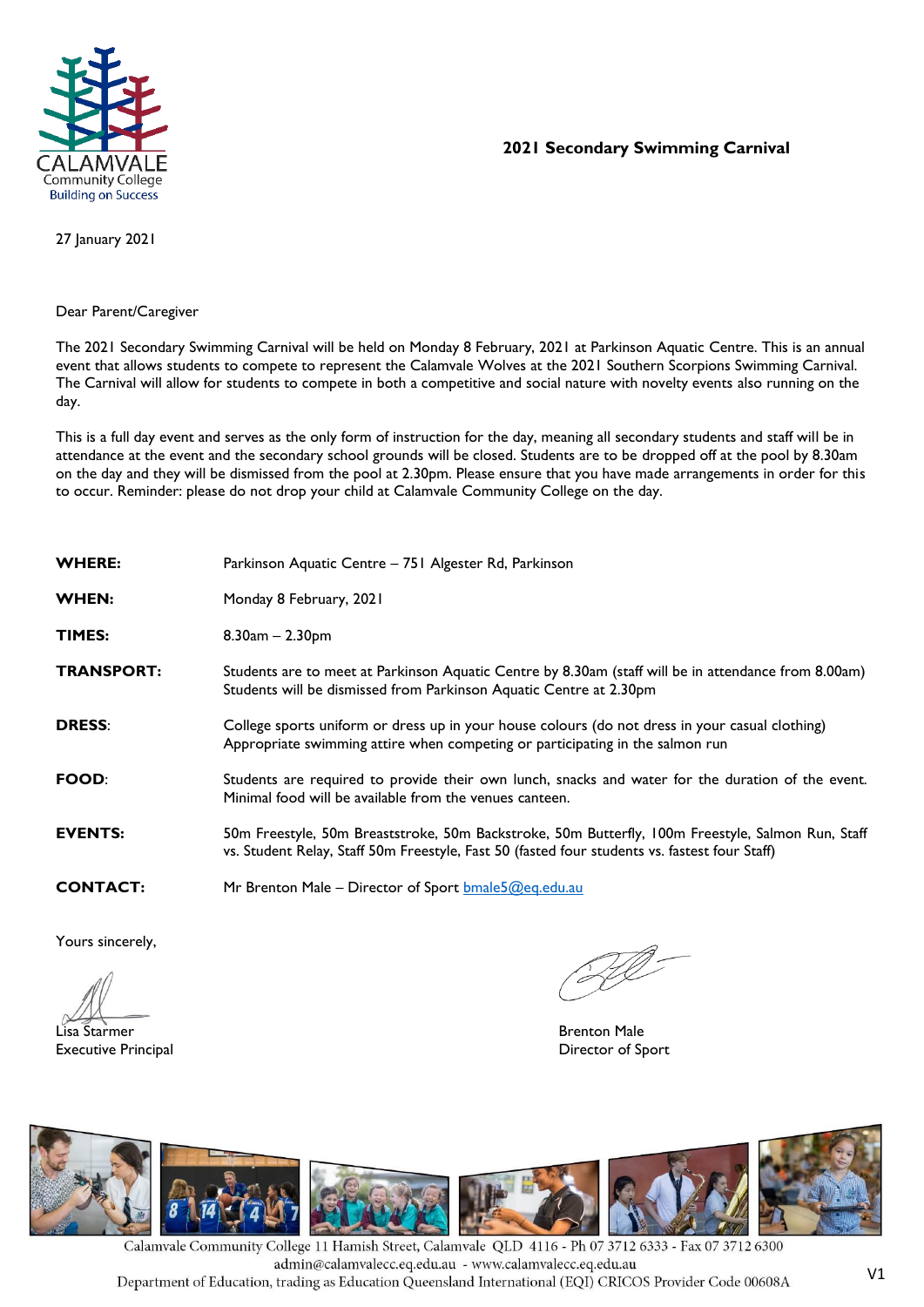

## **2021 Secondary Swimming Carnival**

27 January 2021

## Dear Parent/Caregiver

The 2021 Secondary Swimming Carnival will be held on Monday 8 February, 2021 at Parkinson Aquatic Centre. This is an annual event that allows students to compete to represent the Calamvale Wolves at the 2021 Southern Scorpions Swimming Carnival. The Carnival will allow for students to compete in both a competitive and social nature with novelty events also running on the day.

This is a full day event and serves as the only form of instruction for the day, meaning all secondary students and staff will be in attendance at the event and the secondary school grounds will be closed. Students are to be dropped off at the pool by 8.30am on the day and they will be dismissed from the pool at 2.30pm. Please ensure that you have made arrangements in order for this to occur. Reminder: please do not drop your child at Calamvale Community College on the day.

| <b>WHERE:</b>     | Parkinson Aquatic Centre – 751 Algester Rd, Parkinson                                                                                                                                              |
|-------------------|----------------------------------------------------------------------------------------------------------------------------------------------------------------------------------------------------|
| <b>WHEN:</b>      | Monday 8 February, 2021                                                                                                                                                                            |
| <b>TIMES:</b>     | $8.30$ am $- 2.30$ pm                                                                                                                                                                              |
| <b>TRANSPORT:</b> | Students are to meet at Parkinson Aquatic Centre by 8.30am (staff will be in attendance from 8.00am)<br>Students will be dismissed from Parkinson Aquatic Centre at 2.30pm                         |
| <b>DRESS:</b>     | College sports uniform or dress up in your house colours (do not dress in your casual clothing)<br>Appropriate swimming attire when competing or participating in the salmon run                   |
| <b>FOOD:</b>      | Students are required to provide their own lunch, snacks and water for the duration of the event.<br>Minimal food will be available from the venues canteen.                                       |
| <b>EVENTS:</b>    | 50m Freestyle, 50m Breaststroke, 50m Backstroke, 50m Butterfly, 100m Freestyle, Salmon Run, Staff<br>vs. Student Relay, Staff 50m Freestyle, Fast 50 (fasted four students vs. fastest four Staff) |
| <b>CONTACT:</b>   | Mr Brenton Male – Director of Sport <b>bmale5@eg.edu.au</b>                                                                                                                                        |

Yours sincerely,

Lisa Starmer Brenton Male Executive Principal **Executive Principal** Director of Sport



Calamvale Community College 11 Hamish Street, Calamvale QLD 4116 - Ph 07 3712 6333 - Fax 07 3712 6300 admin@calamvalecc.eq.edu.au - www.calamvalecc.eq.edu.au Department of Education, trading as Education Queensland International (EQI) CRICOS Provider Code 00608A